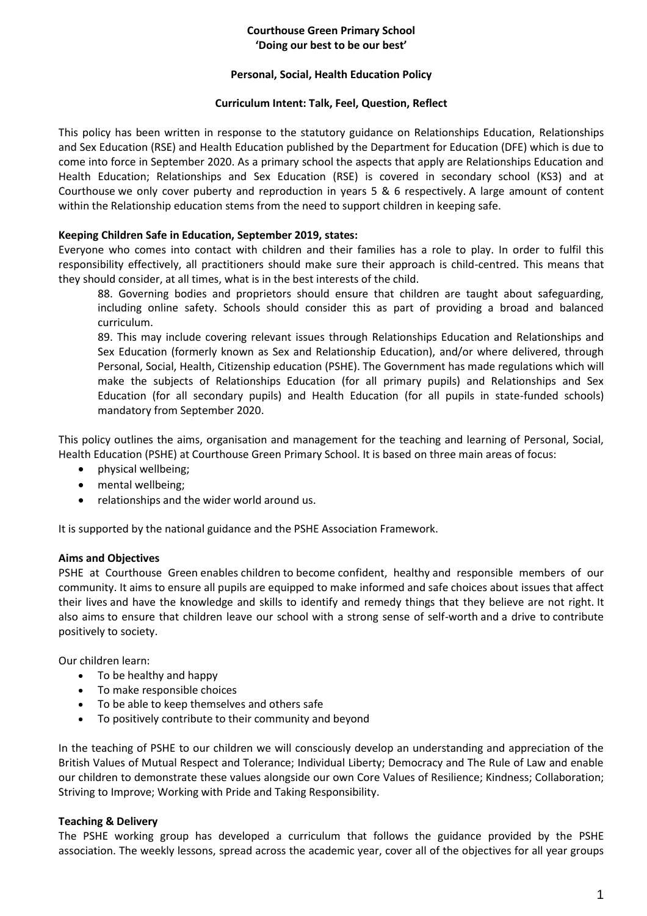#### **Courthouse Green Primary School 'Doing our best to be our best'**

#### **Personal, Social, Health Education Policy**

#### **Curriculum Intent: Talk, Feel, Question, Reflect**

This policy has been written in response to the statutory guidance on Relationships Education, Relationships and Sex Education (RSE) and Health Education published by the Department for Education (DFE) which is due to come into force in September 2020. As a primary school the aspects that apply are Relationships Education and Health Education; Relationships and Sex Education (RSE) is covered in secondary school (KS3) and at Courthouse we only cover puberty and reproduction in years 5 & 6 respectively. A large amount of content within the Relationship education stems from the need to support children in keeping safe.

### **Keeping Children Safe in Education, September 2019, states:**

Everyone who comes into contact with children and their families has a role to play. In order to fulfil this responsibility effectively, all practitioners should make sure their approach is child-centred. This means that they should consider, at all times, what is in the best interests of the child.

88. Governing bodies and proprietors should ensure that children are taught about safeguarding, including online safety. Schools should consider this as part of providing a broad and balanced curriculum.

89. This may include covering relevant issues through Relationships Education and Relationships and Sex Education (formerly known as Sex and Relationship Education), and/or where delivered, through Personal, Social, Health, Citizenship education (PSHE). The Government has made regulations which will make the subjects of Relationships Education (for all primary pupils) and Relationships and Sex Education (for all secondary pupils) and Health Education (for all pupils in state-funded schools) mandatory from September 2020.

This policy outlines the aims, organisation and management for the teaching and learning of Personal, Social, Health Education (PSHE) at Courthouse Green Primary School. It is based on three main areas of focus:

- physical wellbeing;
- mental wellbeing;
- relationships and the wider world around us.

It is supported by the national guidance and the PSHE Association Framework.

### **Aims and Objectives**

PSHE at Courthouse Green enables children to become confident, healthy and responsible members of our community. It aims to ensure all pupils are equipped to make informed and safe choices about issues that affect their lives and have the knowledge and skills to identify and remedy things that they believe are not right. It also aims to ensure that children leave our school with a strong sense of self-worth and a drive to contribute positively to society.  

Our children learn:

- To be healthy and happy
- To make responsible choices
- To be able to keep themselves and others safe
- To positively contribute to their community and beyond

In the teaching of PSHE to our children we will consciously develop an understanding and appreciation of the British Values of Mutual Respect and Tolerance; Individual Liberty; Democracy and The Rule of Law and enable our children to demonstrate these values alongside our own Core Values of Resilience; Kindness; Collaboration; Striving to Improve; Working with Pride and Taking Responsibility.

### **Teaching & Delivery**

The PSHE working group has developed a curriculum that follows the guidance provided by the PSHE association. The weekly lessons, spread across the academic year, cover all of the objectives for all year groups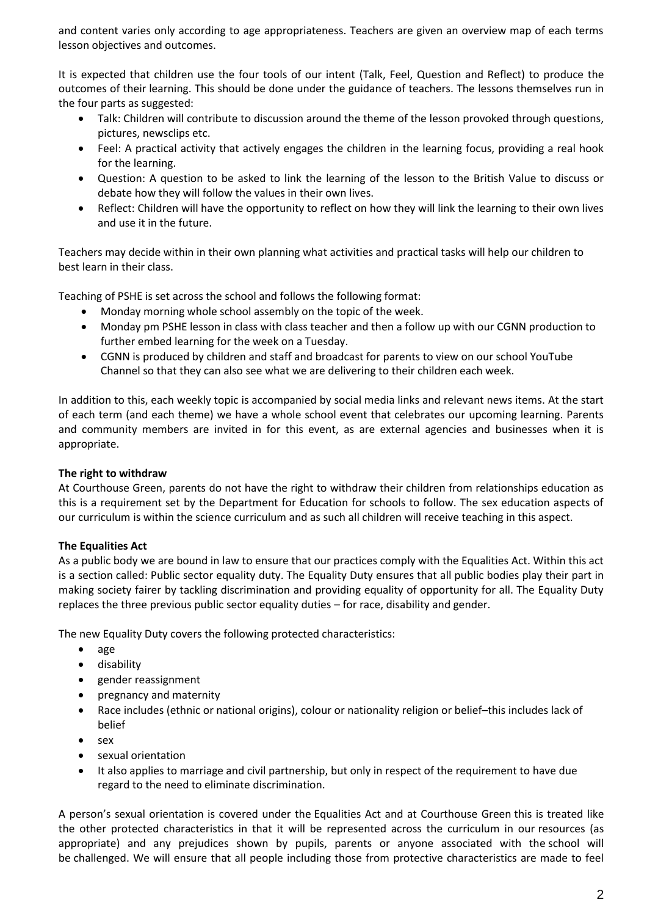and content varies only according to age appropriateness. Teachers are given an overview map of each terms lesson objectives and outcomes.

It is expected that children use the four tools of our intent (Talk, Feel, Question and Reflect) to produce the outcomes of their learning. This should be done under the guidance of teachers. The lessons themselves run in the four parts as suggested:

- Talk: Children will contribute to discussion around the theme of the lesson provoked through questions, pictures, newsclips etc.
- Feel: A practical activity that actively engages the children in the learning focus, providing a real hook for the learning.
- Question: A question to be asked to link the learning of the lesson to the British Value to discuss or debate how they will follow the values in their own lives.
- Reflect: Children will have the opportunity to reflect on how they will link the learning to their own lives and use it in the future.

Teachers may decide within in their own planning what activities and practical tasks will help our children to best learn in their class.

Teaching of PSHE is set across the school and follows the following format:

- Monday morning whole school assembly on the topic of the week.
- Monday pm PSHE lesson in class with class teacher and then a follow up with our CGNN production to further embed learning for the week on a Tuesday.
- CGNN is produced by children and staff and broadcast for parents to view on our school YouTube Channel so that they can also see what we are delivering to their children each week.

In addition to this, each weekly topic is accompanied by social media links and relevant news items. At the start of each term (and each theme) we have a whole school event that celebrates our upcoming learning. Parents and community members are invited in for this event, as are external agencies and businesses when it is appropriate.

### **The right to withdraw**

At Courthouse Green, parents do not have the right to withdraw their children from relationships education as this is a requirement set by the Department for Education for schools to follow. The sex education aspects of our curriculum is within the science curriculum and as such all children will receive teaching in this aspect.

# **The Equalities Act**

As a public body we are bound in law to ensure that our practices comply with the Equalities Act. Within this act is a section called: Public sector equality duty. The Equality Duty ensures that all public bodies play their part in making society fairer by tackling discrimination and providing equality of opportunity for all. The Equality Duty replaces the three previous public sector equality duties – for race, disability and gender.

The new Equality Duty covers the following protected characteristics:

- age
- **•** disability
- gender reassignment
- pregnancy and maternity
- Race includes (ethnic or national origins), colour or nationality religion or belief–this includes lack of belief
- $\bullet$  sex
- sexual orientation
- It also applies to marriage and civil partnership, but only in respect of the requirement to have due regard to the need to eliminate discrimination.

A person's sexual orientation is covered under the Equalities Act and at Courthouse Green this is treated like the other protected characteristics in that it will be represented across the curriculum in our resources (as appropriate) and any prejudices shown by pupils, parents or anyone associated with the school will be challenged. We will ensure that all people including those from protective characteristics are made to feel